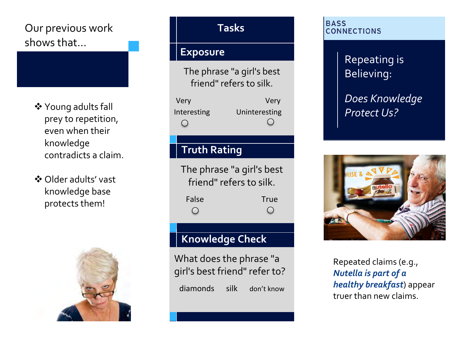# Our previous work shows that…

- Young adults fall prey to repetition, even when their knowledge contradicts a claim.
- Older adults' vast knowledge base protects them!



#### **Tasks**

#### **Exposure**

The phrase "a girl's best friend" refers to silk.

| Very                   | Very                   |
|------------------------|------------------------|
| Interesting            | Uninteresting          |
| $\left( \quad \right)$ | $\left( \quad \right)$ |

## **Truth Rating**

The phrase "a girl's best friend" refers to silk. False True  $\bigcirc$  $\bigcirc$ 

## **Knowledge Check**

What does the phrase "a girl's best friend" refer to? diamonds silk don't know

#### **BASS CONNECTIONS**

Repeating is Believing:

*Does Knowledge Protect Us?*



Repeated claims (e.g., *Nutella is part of a healthy breakfast*) appear truer than new claims.